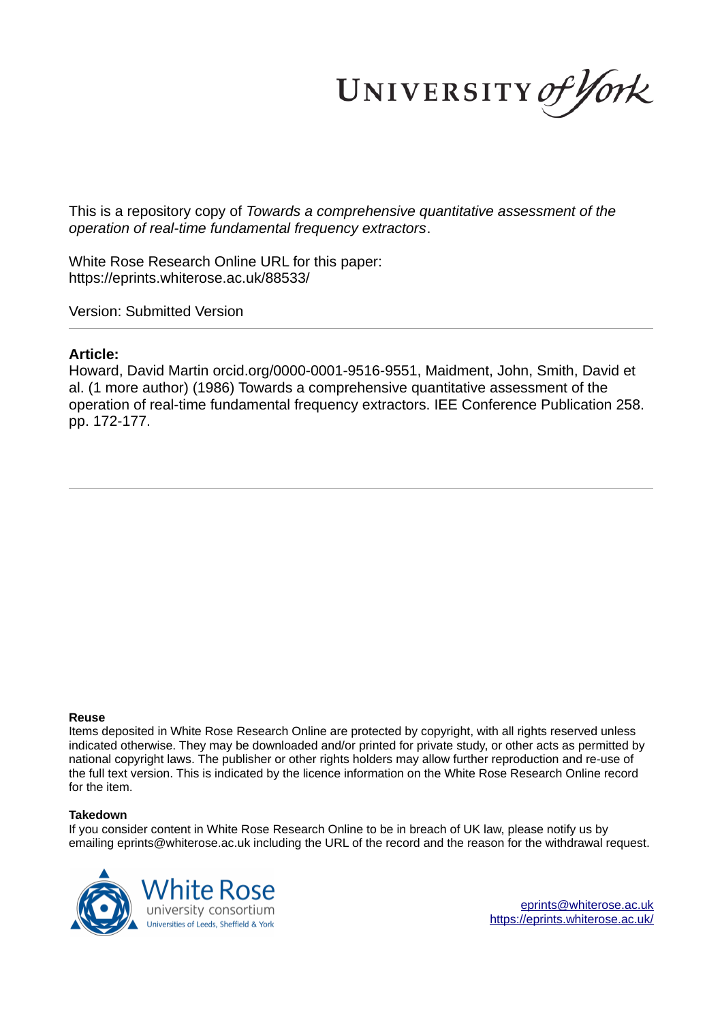UNIVERSITY of York

This is a repository copy of *Towards a comprehensive quantitative assessment of the operation of real-time fundamental frequency extractors*.

White Rose Research Online URL for this paper: https://eprints.whiterose.ac.uk/88533/

Version: Submitted Version

# **Article:**

Howard, David Martin orcid.org/0000-0001-9516-9551, Maidment, John, Smith, David et al. (1 more author) (1986) Towards a comprehensive quantitative assessment of the operation of real-time fundamental frequency extractors. IEE Conference Publication 258. pp. 172-177.

### **Reuse**

Items deposited in White Rose Research Online are protected by copyright, with all rights reserved unless indicated otherwise. They may be downloaded and/or printed for private study, or other acts as permitted by national copyright laws. The publisher or other rights holders may allow further reproduction and re-use of the full text version. This is indicated by the licence information on the White Rose Research Online record for the item.

## **Takedown**

If you consider content in White Rose Research Online to be in breach of UK law, please notify us by emailing eprints@whiterose.ac.uk including the URL of the record and the reason for the withdrawal request.



eprints@whiterose.ac.uk https://eprints.whiterose.ac.uk/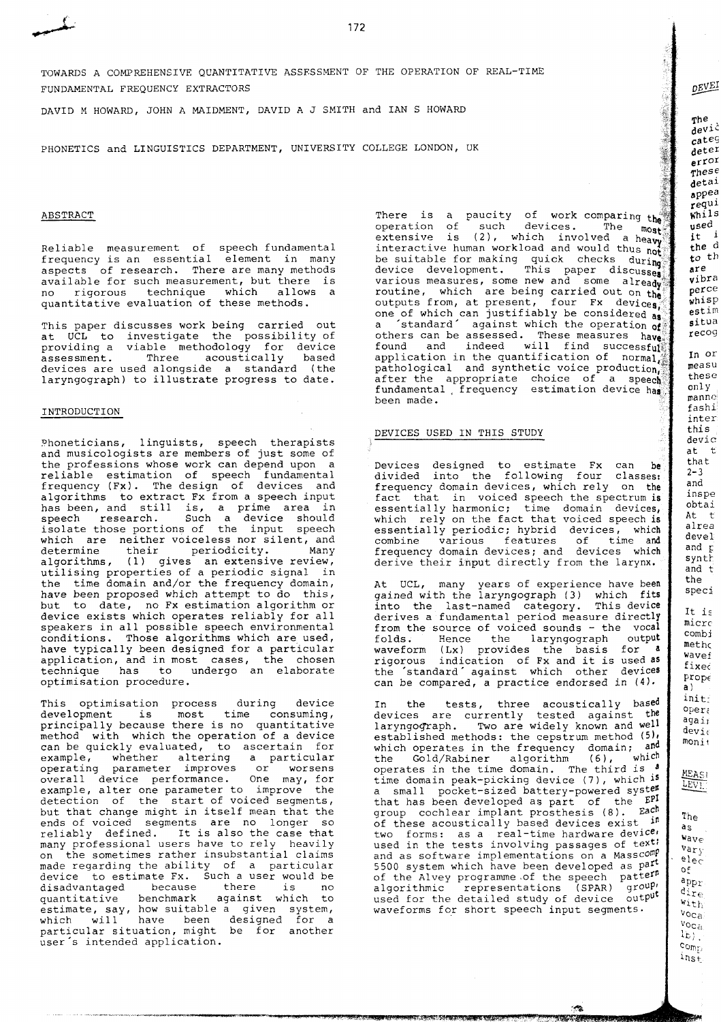172

TOWARDS A COMPREHENSIVE QUANTITATIVE ASSESSMENT OF THE OPERATION OF REAL-TIME FUNDAMENTAL FREQUENCY EXTRACTORS

DAVID M HOWARD, JOHN A MAIDMENT, DAVID A J SMITH and IAN S HOWARD

PHONETICS and LINGUISTICS DEPARTMENT, UNIVERSITY COLLEGE LONDON, UK

### ABSTRACT

Reliable measurement of speech fundamental frequency is an essential element in many aspects of research. There are many methods available for such measurement, but there is no rigorous technique which allows a quantitative evaluation of these methods.

This paper discusses work being carried out at UCL to investigate the possibility of providing a viable methodology for device assessment. Three acoustically based devices are used alongside a standard (the laryngograph) to illustrate progress to date.

### INTRODUCTION

Phoneticians, linguists, speech therapists and musicologists are members of just some of the professions whose work can depend upon a reliable estimation of speech fundamental frequency (Fx). The design of devices and algorithms to extract Fx from a speech input has been, and still is, a prime area in speech research. Such a device should isolate those portions of the input speech which are neither voiceless nor silent, and determine their periodicity. Many algorithms, (1) gives an extensive review, utilising properties of a periodic signal in the time domain and/or the frequency domain, have been proposed which attempt to do this, but to date, no Fx estimation algorithm or device exists which operates reliably for all speakers in all possible speech environmental conditions. Those algorithms which are used, have typically been designed for a particular application, and in most cases, the chosen technique has to undergo an elaborate optimisation procedure.

This optimisation process during device<br>development is most time consuming, most time consuming, principally because there is no quantitative method with which the operation of a device can be quickly evaluated, to ascertain for example, whether altering a particular operating parameter improves or worsens overall device performance. One may, for example, alter one parameter to improve the detection of the start of voiced segments, but that change might in itself mean that the ends of voiced segments are no longer so reliably defined. It is also the case that many professional users have to rely heavily on the sometimes rather insubstantial claims made regarding the ability of a particular device to estimate Fx. Such a user would be<br>disadvantaged because there is no<br>quantitative benchmark against which to because there is<br>benchmark against whic quantitative benchmark against which to estimate, say, how suitable a given system, which will have been designed for a particular situation, might be for another user's intended application.

There is a paucity of work comparing  $th^3$ operation of such devices. The  $\lim_{m \to \infty}$ extensive is (2), which involved a head interactive human workload and would thus not be suitable for making quick checks during device development. This paper discusses various measures, some new and some already routine, which are being carried out on the outputs from, at present, four  $Fx$  devices one of which can justifiably be considered a 'standard' against which the operation **of**  others can be assessed. These measures  $h$ ava found and indeed will find successful application in the quantification of normal. pathological and synthetic voice production, after the appropriate choice of a speech fundamental frequency estimation device has been made.

### DEVICES USED IN THIS STUDY

Devices designed to estimate Fx can be divided into the following four classes: frequency domain devices, which rely on the fact that in voiced speech the spectrum is essentially harmonic; time domain devices, which rely on the fact that voiced speech is essentially periodic; hybrid devices, which combine various features of time and frequency domain devices; and devices which derive their input directly from the larynx.

At UCL, many years of experience have been gained with the laryngograph (3) which fits into the last-named category. This device derives a fundamental period measure directly from the source of voiced sounds - the vocal folds. Hence the laryngograph output waveform (Lx) provides the basis for **<sup>a</sup>** rigo~ous indication of Fx and it is used **as**  the 'standard' against which other devices can be compared, a practice endorsed in **(4).** 

In the tests, three acoustically based devices are currently tested against the laryngograph. Two are widely known and **well**  established methods : the cepstrum method **(511**  which operates in the frequency domain; and<br>the Gold/Rabiner algorithm  $(6)$ , which the Gold/Rabiner algorithm (6), which operates in the time domain. The third is **<sup>a</sup>** time domain peak-picking device **(7),** which **is**  a small pocket-sized battery-powered systes that has been developed as part of the EP1 group cochlear implant prosthesis  $(8)$ .  $\text{Eac}^{\text{th}}$  The of these acoustically based devices exist in two forms: as a real-time hardware device. used in the tests involving passages of **text;**  and as software implementations on a Masscomy 5500 system which have been developed as part of the Alvey programme-of the speech algorithmic representations (SPAR) used for the detailed study of device output waveforms for short speech input segments.

an da matsi Shimacan

estim situa recog In or measu these only.  $m$ anne fashi inter this devic  $at$   $t$ that  $2 - 3$ and inspe obtai At t alrea devel and  $\mathbf{r}$ synth  $\overline{and}$   $\overline{t}$ the  $speci$ It is micre combi metho Wavef fixed  $\texttt{prop}\epsilon$  $A<sup>1</sup>$ init;  $oper<sub>i</sub>$ agair devie  $mont<sub>t</sub>$ **MEASI** 

DEVEI

**The**  $\frac{1}{2}$  $\epsilon$ ateg deter  $errOI$  $\tau$ hese detai appea requi  $whils$  $used$  $\frac{1}{1}$ t i  $the d$  $\frac{1}{2}$ th are vibra perce whisp

LEVE

a<sub>S</sub>  $w_{\text{ave}}$  $var_y$  $e1eC$  $o_{\mathcal{F}}$  $appr$  $\sigma_{\text{tree}}$ With  $v_{\rm OCa}$ 

 $\frac{v_{\text{Oca}}}{v_{\text{Oca}}}$  $\left(\frac{1}{2}\right)$ comp.  $ins_E$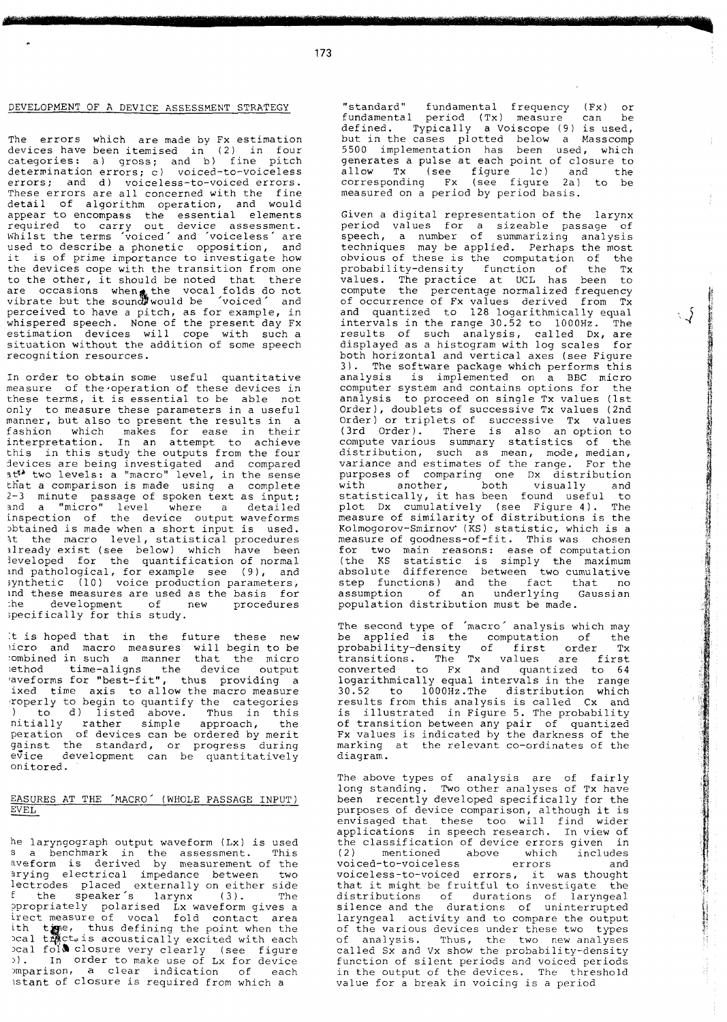## DEVELOPMENT OF **A** DEVICE ASSESSMENT STRATEGY

The errors which are made by Fx estimation devices have been itemised in (2) in four categories: a) gross; and b) fine pitch determination errors; c) voiced-to-voiceless errors; and d) voiceless-to-voiced errors. These errors are all concerned with the fine detail of algorithm operation, and would appear to encompass the essential elements required to carry out device assessment. Khilst the terms voiced' and 'voiceless are used to describe a phonetic opposition, and it is of prime importance to investigate how the devices cope with the transition from one to the other, it should be noted that there are occasions when the vocal folds do not vibrate but the soun $d\mathbb{F}$  would be 'voiced' and perceived to have a pitch, as for example, in whispered speech. None of the present day Fx estimation devices will cope with such a situation without the addition of some speech recognition resources.

In order to obtain some useful quantitative measure of the operation of these devices in these terms, it is essential to be able not only to measure these parameters in a useful manner, but also to present the results in a fashion which makes for ease in their interpretation. In an attempt to achieve this in this study the outputs from the four devices are being investigated and compared it<sup>s</sup> two levels: a "macro" level, in the sense tfiat a comparison is made using a complete **2-3** minute passage of spoken text as input; 3nd a "micro" level where a detailed inspection of the device output waveforms 2btained is made when a short input is used. 5t the macro level, statistical procedures ilready exist (see below) which have been leveloped for the quantification of normal ind pathological, for example see (g), and ynthetic (10) voice production parameters, md these measures are used as the basis for :he development of new procedures pecifically for this study.

t is hoped that in the future these new icro and macro measures will begin to be ombined in such a manner that the micro ethod time-aligns the device output aveforms for "best-fit", thus providing a ixed time axis to allow the macro measure roperly to begin to quantify the categories ) to d) listed above. Thus in this nitially rather simple approach, the peration of devices can be ordered by merit ainst the standard, or progress during evice development can be quantitatively onitored.

# EASURES AT THE 'MACRO' (WHOLE PASSAGE INPUT)

he laryngograph output waveform (Lx) is used 3 a benchmark in the assessment. This iveform is derived by measurement of the 3rying electrical impedance between two lectrodes placed externally on either side <sup>E</sup>the speaker's larynx (3). The ?propriately polarised Lx waveform gives a rect measure of vocal fold contact area e, thus defining the point when the ct.is acoustically excited with each **3 a Lignos Society Continue of the section of the section of the section of the section of each example in the matter of the section of each** lstant of closure is required from which a

"standard" fundamental frequency (Fx) or fundamental period (Tx) measure can be defined. Typically a Voiscope (9) is used, but in the cases plotted below a Masscomp 5500 implementation has been used, which generates a pulse at each point of closure to allow Tx (see figure lc) and the corresponding Fx (see figure 2a) to be measured on a period by period basis.

Given a digital representation of the larynx period values for a sizeable passage of speech, a number of summarizing analysis techniques may be applied. Perhaps the most obvious of these is the computation of the probability-density function of the Tx values. The practice at UCL has been to compute the percentage normalized frequency of occurrence of Fx values derived from Tx and quantized to 128 logarithmically equal intervals in the range 30.52 to 1000Hz. The results of such analysis, called Dx, are displayed as a histogram with log scales for both horizontal and vertical axes (see Figure 3). The software package which performs this analysis is implemented on a BBC micro computer system and contains options for the analysis to proceed on single Tx values (1st Order), doublets of successive Tx values (2nd Order) or triplets of successive Tx values (3rd Order). There is also an option to compute various summary statistics of the distribution, such as mean, mode, median, variance and estimates of the range. For the purposes of comparing one Dx distribution with another, both visually and statistically, it has been found useful to plot Dx cumulatively (see Figure 4). The measure of similarity of distributions is the Kolmogorov-Smirnov' **(KS)** statistic, which is a measure of goodness-of-fit. This was chosen for two main reasons: ease of computation (the KS statistic is simply the maximum absolute difference between two cumulative step functions) and the fact that no assumption of an underlying Gaussian population distribution must be made.

の「大学の学校の学校のディーナーのディーナーの「おおやか」の「おおやか」の「おおやか」の「おおやの」の「おおやか」の「おおやか」の「おおや」の「おおか」の「おおか」の「おおかか」の「おおやか」の「おおやか」の「おおやか」の「おおやか」の「おおやか」の「おおやか」の「おおやか」の「おおやか」の「おおやか」の「おおやか」の「おおやか」の「おおやか」の「おおやか」の「おおやか」の「おおやか」の「おおやか」の「おおやか」の「おおやか」の「おおや

The second type of 'macro' analysis which may be applied is the computation of the probability-density of first order Tx transitions. The Tx values are first converted to Fx and quantized to 64 logarithmically equal intervals in the range 30.52 to 1000Hz.The distribution which results from this analysis is called Cx and is illustrated in Figure 5. The probability of transition between any pair of quantized Fx values is indicated by the darkness of the marking at the relevant co-ordinates of the diagram.

The above types of analysis are of fairly long standing. Two other analyses of Tx have been recently developed specifically for the purposes of device comparison, although it is envisaged that these too will find wider applications in speech research. In view of the classification of device errors given in (2) mentioned above which includes voiced-to-voiceless errors and voiceless-to-voiced errors, it was thought that it might be fruitful to investigate the distributions of durations of laryngeal silence and the durations of uninterrupted laryngeal activity and to compare the output of the various devices under these two types of analysis. Thus, the two new analyses called Sx and Vx show the probability-density function of silent periods and voiced periods in the output of the devices. The threshold value for a break in voicing is a period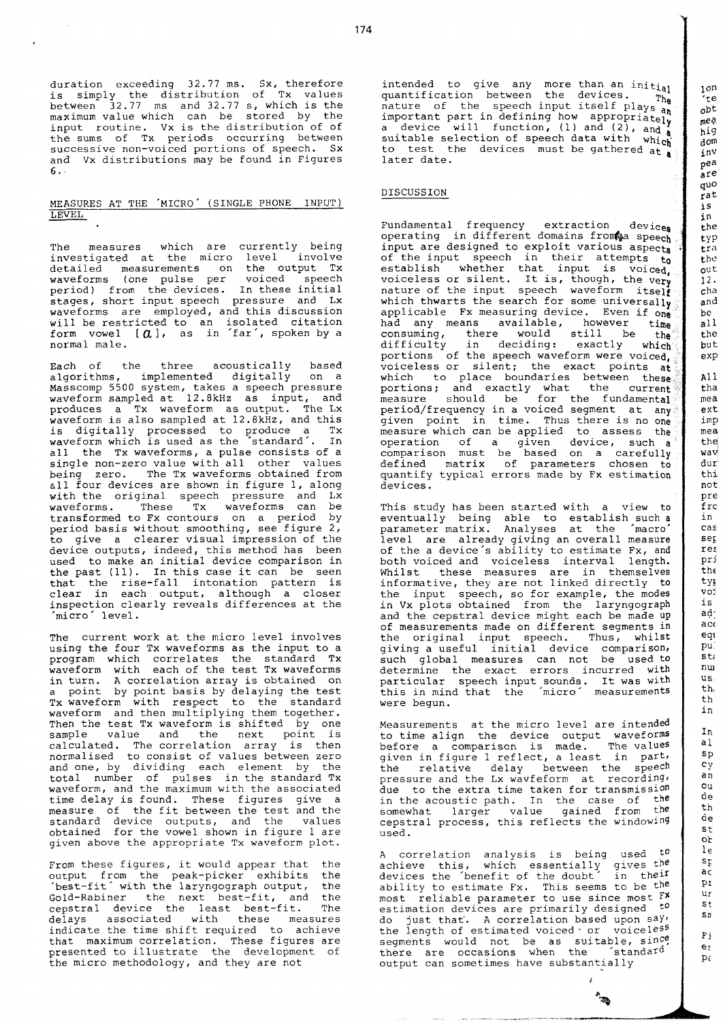duration exceeding 32.77 ms. Sx, therefore is simply the distribution of Tx values between 32.77 ms and 32.77 S, which is the maximum value which can be stored by the input routine. Vx is the distribution of of the sums of Tx periods occurring between successive non-voiced portions of speech. Sx and Vx distributions may be found in Figures *6..*  the sums of Tx periods occurring between<br>successive non-voiced portions of speech. Sx<br>and Vx distributions may be found in Figures<br>6.<br><u>MEASURES AT THE 'MICRO' (SINGLE PHONE INPUT)</u><br>LEVEL.

# LEVEL

The measures which are currently being investigated at the micro level involve detailed measurements on the output Tx<br>waveforms (one pulse per voiced speech waveforms (one pulse per voiced speech period) from the devices. In these initial stages, short input speech pressure and Lx waveforms are employed, and this discussion will be restricted to an isolated citation form vowel *[a],* as in 'far', spoken by a normal male.

Each of the three acoustically based algorithms, implemented digitally on a Masscomp 5500 system, takes a speech pressure waveform sampled at 12.8kHz as input, and produces a Tx waveform as output. The Lx waveform is also sampled at 12.8kHz, and this is digitally processed to produce a Tx<br>waveform which is used as the standard . In all the Tx waveforms, a pulse consists of a single non-zero value with all other values being zero. The Tx waveforms obtained from &l1 four devices are shown in figure 1, along with the original speech pressure and Lx waveforms. These Tx waveforms can be transformed to Fx contours on a period by period basis without smoothing, see figure 2, to give a clearer visual impression of the device outputs, indeed, this method has been used to make an initial device comparison in the past (11). In this case it can be seen that the rise-fall intonation pattern is clear in each output, although a closer inspection clearly reveals differences at the 'micro level.

The current work at the micro level involves using the four Tx waveforms as the input to a program which correlates the standard Tx waveform with each of the test Tx waveforms in turn. A correlation array is obtained on a point by point basis by delaying the test Tx waveform with respect to the standard waveform and then multiplying them together. Then the test Tx waveform is shifted by one sample value and the next point is calculated. The correlation array is then normalised to consist of values between zero and one, by dividing each element by the total number of pulses in the standard Tx waveform, and the maximum with the associated time delay is found. These figures give a measure of the fit between the test and the standard device outputs, and the values obtained for the vowel shown in figure 1 are given above the appropriate Tx waveform plot.

From these figures, it would appear that the output from the peak-picker exhibits the<br>'best-fit' with the laryngograph output, the 'best-fit' with the laryngograph output, Gold-Rabiner the next best-fit, and the cepstral device the least best-fit. The delays associated with these measures indicate the time shift required to achieve that maximum correlation. These figures are presented to illustrate the development of the micro methodology, and they are not

intended to give any more than an initial quantification between the devices. nature of the speech input itself plays  $T_{\text{av}}$ important part in defining how appropriately<br>a device will function, (1) and (2), and **Y** suitable selection of speech data with which to test the devices must be gathered at **a**  later date.

### DISCUSSION

Fundamental frequency extraction devices operating in different domains from a speech input are designed to exploit various aspects of the input speech in their attempts  $t_0$ establish whether that input is voiced, voiceless or silent. It is, though, the very nature of the input speech waveform itself which thwarts the search for some universally applicable Fx measuring device. Even if one had any means available, however time consuming, there would still be the difficulty in deciding: exactly which portions of the speech waveform were voiced, voiceless or silent; the exact points a which to place boundaries between these portions; and exactly what the curren measure should be for the fundamental period/frequency in a voiced segment at any given point in time. Thus there is no one measure which can be applied to assess the operation of a given device, such  $a^{\frac{m}{2}}$ comparison must be based on a carefully defined matrix of parameters chosen to quantify typical errors made by Fx estimation devices.

This study has been started with a view to eventually being able to establish such a parameter matrix. Analyses at the 'macro level are already giving an overall measure of the a device's ability to estimate Fx, and both voiced and voiceless interval length. Whilst these measures are in themselves informative, they are not linked directly to the input speech, so for example, the modes in Vx plots obtained from the laryngograph and the cepstral device might each be made up of measurements made on different segments in the original input speech. Thus, whilst giving a useful initial device comparison, such global measures can not be used to determine the exact errors incurred with particular speech input sounds. It was with this in mind that the 'micro' measurements were begun.

Measurements at the micro level are intended to time align the device output waveforms before a comparison is made. The values given in figure 1 reflect, a least in part, the relative delay between the speech pressure and the Lx wavfeform at recording, due to the extra time taken for transmission in the acoustic path. In the case of the somewhat larger value gained from the cepstral process, this reflects the windowing used.

A correlation analysis is being used to achieve this, which essentially gives the devices the 'benefit of the doubt' in their ability to estimate Fx. This seems to be **the**  most reliable parameter to use since most **F\***  estimation devices are primarily designed to do just that. A correlation based upon say the length of estimated voiced. or voiceless segments would not be as suitable,  $\text{sin}$ <sup>ce</sup>, there are occasions when the 'standard output can sometimes have substantially

S n **F,**  e:  $p_{\tilde{t}}$ 

**b** 

**Allen**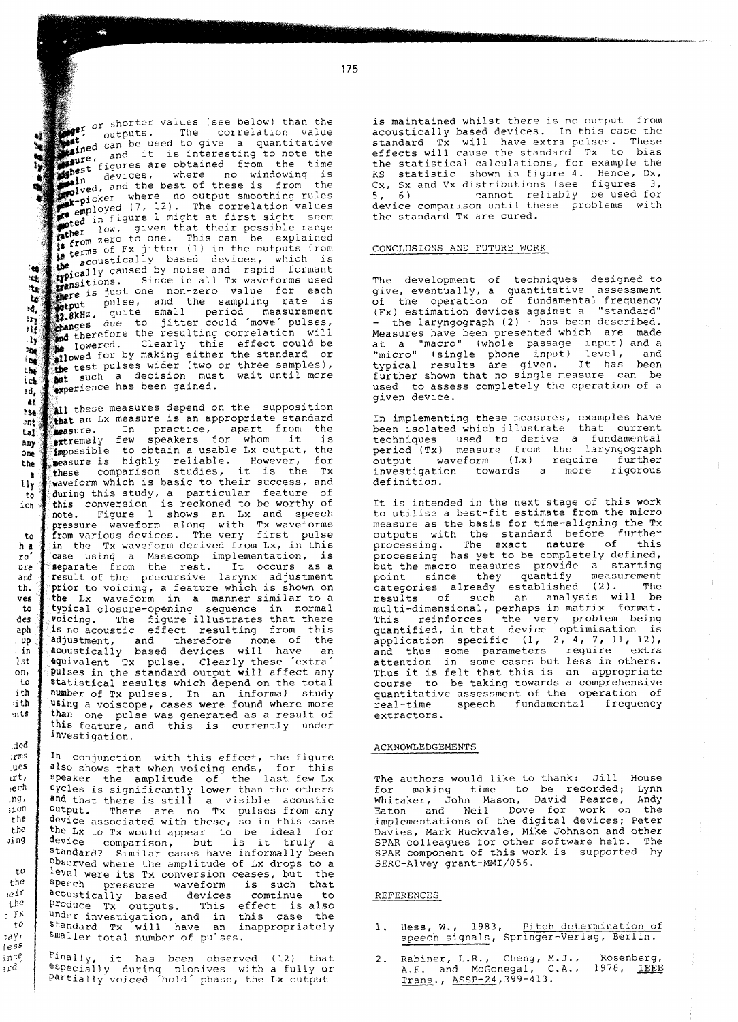175

 $\sum_{i=1}^{\infty}$  or shorter values (see below) than the **1:** *outputs.* The correlation value<br>**t**<sub>red C</sub>an be used to give a quantitative and it is interesting to note the  $figure$ s are obtained from the time figures are obtained itself the control of<br>devices, where no windowing is devices, where no windowing<br>**i**n devices, where no windowing<br>**colvednow** where is from ,  $\log d$ , and the best of these is from the where no output smoothing rules  $_{\rm{mployed}}$  (7, 12). The correlation values figure 1 might at first sight seem low, given that their possible range <sub>om zero</sub> to one. This can be explained f Fx jitter (1) in the outputs from cause of the devices, which is<br>expically caused by noise and rapid formant<br>consistions. Since in all Tx waveforms used<br>there is just one non-zero value for each<br>experience is just tically based devices, which is **I.**<br>Insitions. Since in all Tx waveforms used<br>Insitions. Since in all Tx waveforms used<br>Interior is just one non-zero value for each <sub>5</sub>. Since in all Tx waveforms used **the** *pulse***, and the sampling rate is<br>
<b>akHz**, quite small period measurement **L'** puise, and the sampling race is<br> **RHZ**, quite small period measurement<br>
ges due to jitter could move pulses, therefore the resulting correlation will lowered. Clearly this effect could be<br>owed for by making either the standard or **the test pulses wider (two or three samples),**<br>methods and position must unit until more **Got** such a decision must wait until more perience has been gained.

 $\mathbf{u}$  $\frac{3\sigma}{2}$  $x_{\tilde{t}}$ -17  $\mathbf{u}_1$  $\overline{\mathcal{M}}$ i pe the ich 38.

 $10<sub>1</sub>$ 

ince  $ar^{d}$ 

at these measures depend on the supposition  $256$ that an Lx measure is an appropriate standard  $2nt$ sure. In practice, apart from the tat remely few speakers for whom it is any ossible to obtain a usable Lx output, the one sure is highly reliable. However, for the se comparison studies, it is the Tx  $\ddot{a}$ waveform which is basic to their success, and  $11v$ during this study, a particular feature of to ion s conversion is reckoned to be worthy of e. Figure l shows an Lx and speech ssure waveform along with Tx waveforms to from various devices. The very first pulse in the Tx waveform derived from Lx, in this  $h a$ ro case using a Masscomp implementation, is ure separate from the rest. It occurs as a and result of the precursive larynx adjustment th. prior to voicing, a feature which is shown on ves the Lx waveform in a manner similar to a typical closure-opening sequence in normal to  $\Delta \rho g$ Voicing. The figure illustrates that there aph **is** no acoustic effect resulting from this  $\mathbf{u}$ adjustment, and therefore none of the in acoustically based devices will have an  $1st$ equivalent Tx pulse. Clearly these 'extra' ion. Pulses in the standard output will affect any to statistical results which depend on the total  $rith$ number of TX pulses. In an informal study dth using a voiscope, cases were found where more than one pulse was generated as a result of  $\cdot$ nts this feature, and this is currently under investigation.

 $\rangle\gamma mS$ In conjunction with this effect, the figure ues also shows that when voicing ends, for this  $i$ rt, Speaker the amplitude of the last few Lx ech Cycles is significantly lower than the others  $nq<sub>f</sub>$ and that there is still a visible acoustic  $:$ ion <sup>output.</sup> There are no Tx pulses from any the device associated with these, so in this case  $+ne$ the Lx to TX would appear to be ideal for ving device comparison, but is it truly a Standard? Similar cases have informally been observed where the amplitude of Lx drops to a  $+0$ level were its TX conversion ceases, but the the Speech pressure waveform is such that  $ie$ ir acoustically based devices comtinue to  $the$ Produce Tx outputs. This effect is also  $E$   $\overline{r}$   $\overline{r}$ under investigation, and in this case the  $\overline{t}$ Standard TX will have an inappropriately  $3aVt$ \$maller total number of pulses.  $1e55$ 

.<br><sup>Finally</sup>, it has been observed (12) that<br><sup>especially during plosives with a fully or</sup> Partially voiced <sup>7</sup>hold' phase, the Lx output

is maintained whilst there is no output from acoustically based devices. In this case the standard Tx will have extra pulses. These effects will cause the standard Tx to bias the statistical calculations, for example the KS statistic shown in figure 4. Hence, Dx, Cx, Sx and Vx distributions (see figures 3, 5, 6) zannot reliably be used for device comparison until these problems with the standard Tx are cured.

# CONCLUSIONS AND FUTURE WORK

The development of techniques designed to give, eventually, a quantitative assessment of the operation of fundamental frequency (Fx) estimation devices against a "standard" - the laryngograph (2) - has been described. Measures have been presented which are made at a "macro" (whole passage input) and a "micro" (single phone input) level, and typical results are given. It has been further shown that no single measure can be used to assess completely the operation of a given device.

In implementing these measures, examples have been isolated which illustrate that current techniques used to derive a fundamental period (Tx) measure from the laryngograph output waveform (Lx) require further investigation towards a more rigorous definition.

It is intended in the next stage of this work to utilise a best-fit estimate from the micro measure as the basis for time-aligning the Tx outputs with the standard before further processing. The exact nature of this processing has yet to be completely defined, but the macro measures provide a starting point since they quantify measurement categories already established (2). The results of such an analysis will be multi-dimensional, perhaps in matrix format. This reinforces the very problem being quantified, in that device optimisation is application specific (1, 2, 4, 7, 11, 12), and thus some parameters require extra attention in some cases but less in others. Thus it is felt that this is an appropriate course to be taking towards a comprehensive quantitative assessment of the operation of<br>real-time speech fundamental frequency speech fundamental extractors.

### ACKNOWLEDGEMENTS

The authors would like to thank: Jill House for making time to be recorded; Lynn Whitaker, John Mason, David Pearce, Andy Eaton and Neil Dove for work on the implementations of the digital devices; Peter Davies, Mark Huckvale, Mike Johnson and other SPAR colleagues for other software help. The SPAR component of this work is supported by SERC-Alvey grant-MMI/O56.

### REFERENCES

- 1. Hess, W., 1983, Pitch determination of speech signals, Springer-Verlag, Berlin.
- 2. Rabiner, L.R., Cheng, M.J., Rosenberg, A.E. and McGonegal, C.A., 1976, <u>I</u> Trans., ASSP-24,399-413.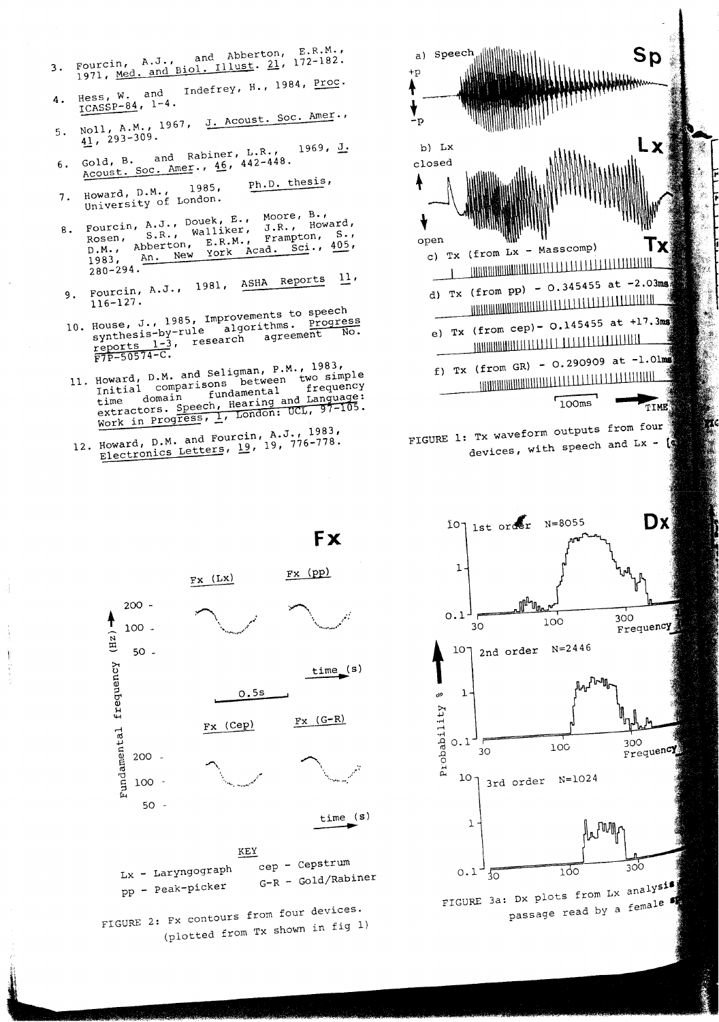| Fourcin, A.J., and Abberton, E.R.M.<br>1971, Med. and Biol. Illust. 21, 172-182. |  |
|----------------------------------------------------------------------------------|--|
|                                                                                  |  |

- Indefrey, H., 1984, Proc. Hess, W. and  $\frac{1}{1}$ CASSP-84,  $1-4$ . Δ.
- Noll, A.M., 1967, J. Acoust. Soc. Amer., 5.  $41, 293-309.$
- Gold, B. and Rabiner, L.R.,<br>Acoust. Soc. Amer., 46, 442-448.  $1969, J.$ 6.
- Ph.D. thesis, Howard, D.M., 1985,<br>University of London.  $7.$
- Moore, B., Fourcin, A.J., Douek, E., Howard, S.R., Walliker, J.R.,  $8.$ Frampton,  $S \cdot B$ Rosen, S.R., Wallince, 405, York Acad. Sci., An. New 1983.  $280 - 294$ .
- Fourcin, A.J., 1981, ASHA Reports  $11<sub>1</sub>$ 9.  $116 - 127$ .
- 10. House, J., 1985, Improvements to speech<br>synthesis-by-rule algorithms. Progress research agreement  $\frac{1-3}{\sqrt{57P-50574-C}}$
- 11. Howard, D.M. and Seligman, P.M., 1983,<br>Initial comparisons between two simple fundamental extractors. Speech, Hearing and Language: Work in Progress, 1, London: UCL, 97-105.
- 12. Howard, D.M. and Fourcin, A.J., 1983,<br>Electronics Letters, 19, 19, 776-778.







**Fx**